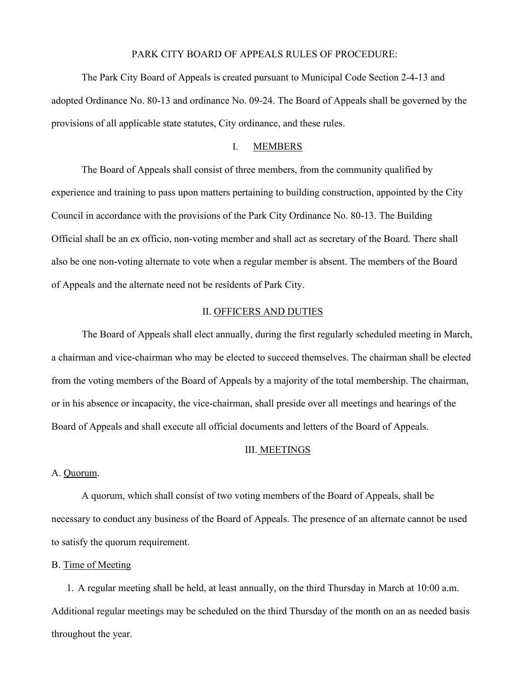# PARK CITY BOARD OF APPEALS RULES OF PROCEDURE:

The Park City Board of Appeals is created pursuant to Municipal Code Section 2-4-13 and adopted Ordinance No. 80-13 and ordinance No. 09-24. The Board of Appeals shall be governed by the provisions of all applicable state statutes, City ordinance, and these rules.

# I. MEMBERS

The Board of Appeals shall consist of three members, from the community qualified by experience and training to pass upon matters pertaining to building construction, appointed by the City Council in accordance with the provisions of the Park City Ordinance No. 80-13. The Building Official shall be an ex officio, non-voting member and shall act as secretary of the Board. There shall also be one non-voting alternate to vote when a regular member is absent. The members of the Board of Appeals and the alternate need not be residents of Park City.

### II. OFFICERS AND DUTIES

The Board of Appeals shall elect annually, during the first regularly scheduled meeting in March, a chairman and vice-chairman who may be elected to succeed themselves. The chairman shall be elected from the voting members of the Board of Appeals by a majority of the total membership. The chairman, or in his absence or incapacity, the vice-chairman, shall preside over all meetings and hearings of the Board of Appeals and shall execute all official documents and letters of the Board of Appeals.

#### III. MEETINGS

#### A. Quorum.

A quorum, which shall consist of two voting members of the Board of Appeals, shall be necessary to conduct any business of the Board of Appeals. The presence of an alternate cannot be used to satisfy the quorum requirement.

### B. Time of Meeting

1. A regular meeting shall be held, at least annually, on the third Thursday in March at 10:00 a.m. Additional regular meetings may be scheduled on the third Thursday of the month on an as needed basis throughout the year.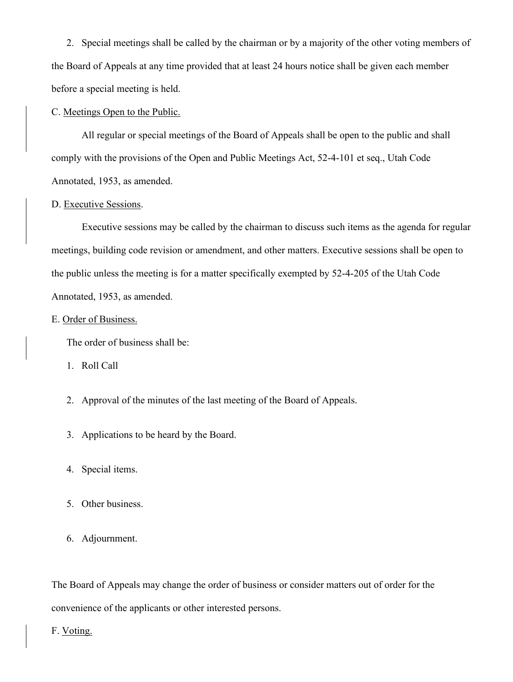2. Special meetings shall be called by the chairman or by a majority of the other voting members of the Board of Appeals at any time provided that at least 24 hours notice shall be given each member before a special meeting is held.

#### C. Meetings Open to the Public.

All regular or special meetings of the Board of Appeals shall be open to the public and shall comply with the provisions of the Open and Public Meetings Act, 52-4-101 et seq., Utah Code Annotated, 1953, as amended.

### D. Executive Sessions.

Executive sessions may be called by the chairman to discuss such items as the agenda for regular meetings, building code revision or amendment, and other matters. Executive sessions shall be open to the public unless the meeting is for a matter specifically exempted by 52-4-205 of the Utah Code Annotated, 1953, as amended.

#### E. Order of Business.

The order of business shall be:

- 1. Roll Call
- 2. Approval of the minutes of the last meeting of the Board of Appeals.
- 3. Applications to be heard by the Board.
- 4. Special items.
- 5. Other business.
- 6. Adjournment.

The Board of Appeals may change the order of business or consider matters out of order for the convenience of the applicants or other interested persons.

### F. Voting.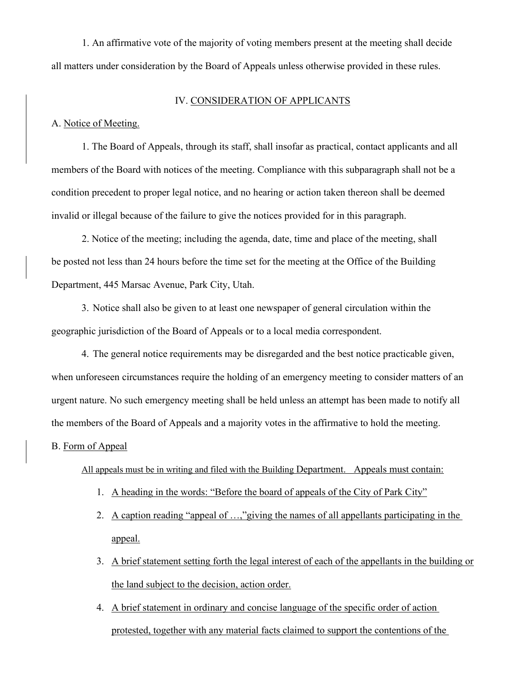1. An affirmative vote of the majority of voting members present at the meeting shall decide all matters under consideration by the Board of Appeals unless otherwise provided in these rules.

### IV. CONSIDERATION OF APPLICANTS

A. Notice of Meeting.

1. The Board of Appeals, through its staff, shall insofar as practical, contact applicants and all members of the Board with notices of the meeting. Compliance with this subparagraph shall not be a condition precedent to proper legal notice, and no hearing or action taken thereon shall be deemed invalid or illegal because of the failure to give the notices provided for in this paragraph.

2. Notice of the meeting; including the agenda, date, time and place of the meeting, shall be posted not less than 24 hours before the time set for the meeting at the Office of the Building Department, 445 Marsac Avenue, Park City, Utah.

3. Notice shall also be given to at least one newspaper of general circulation within the geographic jurisdiction of the Board of Appeals or to a local media correspondent.

4. The general notice requirements may be disregarded and the best notice practicable given, when unforeseen circumstances require the holding of an emergency meeting to consider matters of an urgent nature. No such emergency meeting shall be held unless an attempt has been made to notify all the members of the Board of Appeals and a majority votes in the affirmative to hold the meeting.

### B. Form of Appeal

All appeals must be in writing and filed with the Building Department. Appeals must contain:

- 1. A heading in the words: "Before the board of appeals of the City of Park City"
- 2. A caption reading "appeal of …,"giving the names of all appellants participating in the appeal.
- 3. A brief statement setting forth the legal interest of each of the appellants in the building or the land subject to the decision, action order.
- 4. A brief statement in ordinary and concise language of the specific order of action protested, together with any material facts claimed to support the contentions of the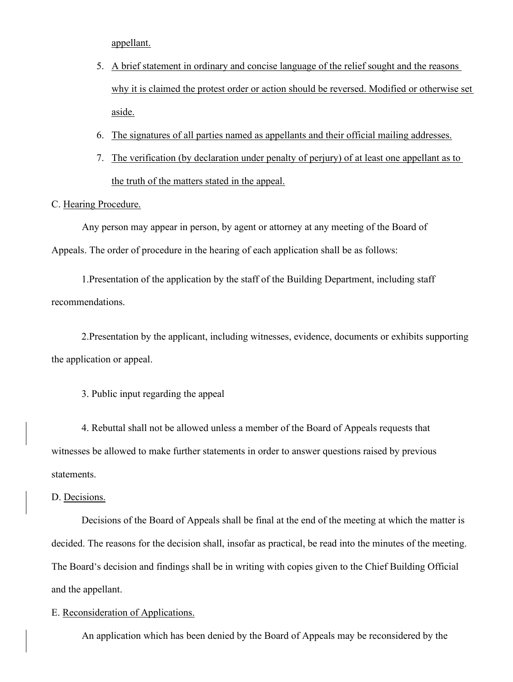appellant.

- 5. A brief statement in ordinary and concise language of the relief sought and the reasons why it is claimed the protest order or action should be reversed. Modified or otherwise set aside.
- 6. The signatures of all parties named as appellants and their official mailing addresses.
- 7. The verification (by declaration under penalty of perjury) of at least one appellant as to the truth of the matters stated in the appeal.

# C. Hearing Procedure.

Any person may appear in person, by agent or attorney at any meeting of the Board of Appeals. The order of procedure in the hearing of each application shall be as follows:

1.Presentation of the application by the staff of the Building Department, including staff recommendations.

2.Presentation by the applicant, including witnesses, evidence, documents or exhibits supporting the application or appeal.

3. Public input regarding the appeal

4. Rebuttal shall not be allowed unless a member of the Board of Appeals requests that witnesses be allowed to make further statements in order to answer questions raised by previous statements.

### D. Decisions.

Decisions of the Board of Appeals shall be final at the end of the meeting at which the matter is decided. The reasons for the decision shall, insofar as practical, be read into the minutes of the meeting. The Board's decision and findings shall be in writing with copies given to the Chief Building Official and the appellant.

### E. Reconsideration of Applications.

An application which has been denied by the Board of Appeals may be reconsidered by the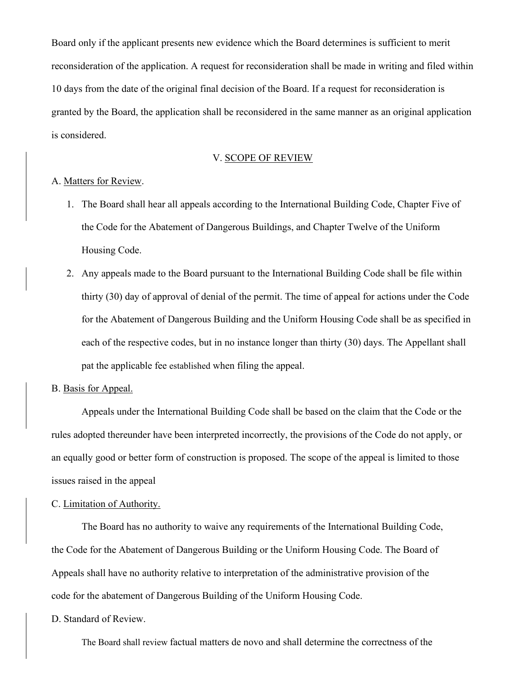Board only if the applicant presents new evidence which the Board determines is sufficient to merit reconsideration of the application. A request for reconsideration shall be made in writing and filed within 10 days from the date of the original final decision of the Board. If a request for reconsideration is granted by the Board, the application shall be reconsidered in the same manner as an original application is considered.

### V. SCOPE OF REVIEW

# A. Matters for Review.

- 1. The Board shall hear all appeals according to the International Building Code, Chapter Five of the Code for the Abatement of Dangerous Buildings, and Chapter Twelve of the Uniform Housing Code.
- 2. Any appeals made to the Board pursuant to the International Building Code shall be file within thirty (30) day of approval of denial of the permit. The time of appeal for actions under the Code for the Abatement of Dangerous Building and the Uniform Housing Code shall be as specified in each of the respective codes, but in no instance longer than thirty (30) days. The Appellant shall pat the applicable fee established when filing the appeal.

### B. Basis for Appeal.

Appeals under the International Building Code shall be based on the claim that the Code or the rules adopted thereunder have been interpreted incorrectly, the provisions of the Code do not apply, or an equally good or better form of construction is proposed. The scope of the appeal is limited to those issues raised in the appeal

#### C. Limitation of Authority.

The Board has no authority to waive any requirements of the International Building Code, the Code for the Abatement of Dangerous Building or the Uniform Housing Code. The Board of Appeals shall have no authority relative to interpretation of the administrative provision of the code for the abatement of Dangerous Building of the Uniform Housing Code.

#### D. Standard of Review.

The Board shall review factual matters de novo and shall determine the correctness of the